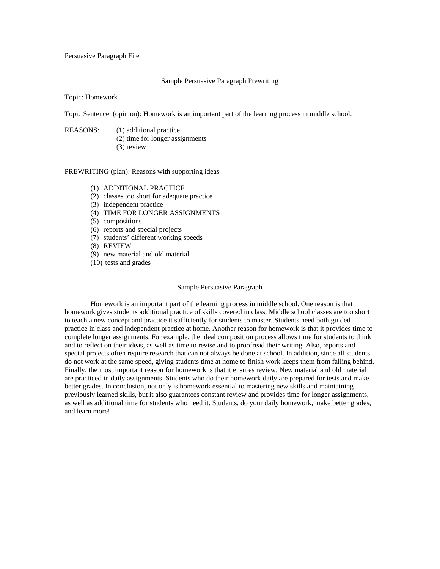## Persuasive Paragraph File

#### Sample Persuasive Paragraph Prewriting

Topic: Homework

Topic Sentence (opinion): Homework is an important part of the learning process in middle school.

REASONS: (1) additional practice (2) time for longer assignments (3) review

PREWRITING (plan): Reasons with supporting ideas

- (1) ADDITIONAL PRACTICE
- (2) classes too short for adequate practice
- (3) independent practice
- (4) TIME FOR LONGER ASSIGNMENTS
- (5) compositions
- (6) reports and special projects
- (7) students' different working speeds
- (8) REVIEW
- (9) new material and old material
- (10) tests and grades

#### Sample Persuasive Paragraph

 Homework is an important part of the learning process in middle school. One reason is that homework gives students additional practice of skills covered in class. Middle school classes are too short to teach a new concept and practice it sufficiently for students to master. Students need both guided practice in class and independent practice at home. Another reason for homework is that it provides time to complete longer assignments. For example, the ideal composition process allows time for students to think and to reflect on their ideas, as well as time to revise and to proofread their writing. Also, reports and special projects often require research that can not always be done at school. In addition, since all students do not work at the same speed, giving students time at home to finish work keeps them from falling behind. Finally, the most important reason for homework is that it ensures review. New material and old material are practiced in daily assignments. Students who do their homework daily are prepared for tests and make better grades. In conclusion, not only is homework essential to mastering new skills and maintaining previously learned skills, but it also guarantees constant review and provides time for longer assignments, as well as additional time for students who need it. Students, do your daily homework, make better grades, and learn more!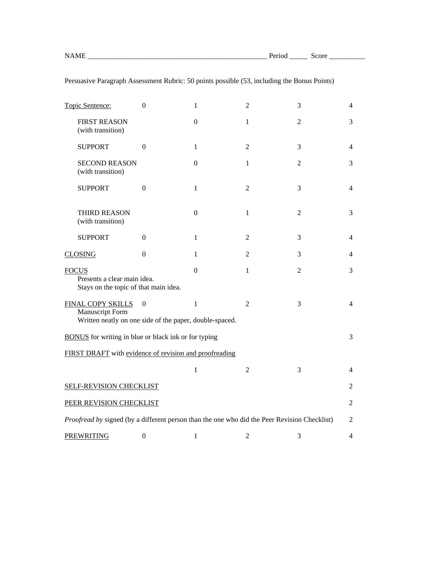| Topic Sentence:                                                                                 | $\theta$         | 1                | $\mathfrak{D}$ | 3              | 4              |
|-------------------------------------------------------------------------------------------------|------------------|------------------|----------------|----------------|----------------|
| <b>FIRST REASON</b><br>(with transition)                                                        |                  | $\mathbf{0}$     | 1              | $\overline{2}$ | 3              |
| <b>SUPPORT</b>                                                                                  | $\theta$         | $\mathbf{1}$     | $\overline{2}$ | 3              | $\overline{4}$ |
| <b>SECOND REASON</b><br>(with transition)                                                       |                  | $\Omega$         | 1              | $\overline{2}$ | 3              |
| <b>SUPPORT</b>                                                                                  | $\overline{0}$   | $\mathbf{1}$     | $\overline{2}$ | 3              | $\overline{4}$ |
| <b>THIRD REASON</b><br>(with transition)                                                        |                  | $\boldsymbol{0}$ | 1              | $\overline{2}$ | 3              |
| <b>SUPPORT</b>                                                                                  | $\Omega$         | $\mathbf{1}$     | 2              | 3              | $\overline{4}$ |
| <b>CLOSING</b>                                                                                  | $\boldsymbol{0}$ | 1                | $\overline{2}$ | 3              | 4              |
| <b>FOCUS</b><br>Presents a clear main idea.<br>Stays on the topic of that main idea.            |                  | $\mathbf{0}$     | $\mathbf{1}$   | $\overline{2}$ | 3              |
| FINAL COPY SKILLS<br>Manuscript Form<br>Written neatly on one side of the paper, double-spaced. | $\theta$         | $\mathbf{1}$     | $\overline{2}$ | 3              | 4              |
| <b>BONUS</b> for writing in blue or black ink or for typing                                     |                  |                  |                |                | 3              |
| FIRST DRAFT with evidence of revision and proofreading                                          |                  |                  |                |                |                |
|                                                                                                 |                  | $\mathbf{1}$     | $\overline{2}$ | 3              | 4              |
| <b>SELF-REVISION CHECKLIST</b>                                                                  |                  |                  |                |                | 2              |
| PEER REVISION CHECKLIST                                                                         |                  |                  |                |                | $\overline{2}$ |
| Proofread by signed (by a different person than the one who did the Peer Revision Checklist)    |                  |                  |                | 2              |                |
| <b>PREWRITING</b>                                                                               | $\boldsymbol{0}$ | $\mathbf{1}$     | $\overline{2}$ | 3              | 4              |

Persuasive Paragraph Assessment Rubric: 50 points possible (53, including the Bonus Points)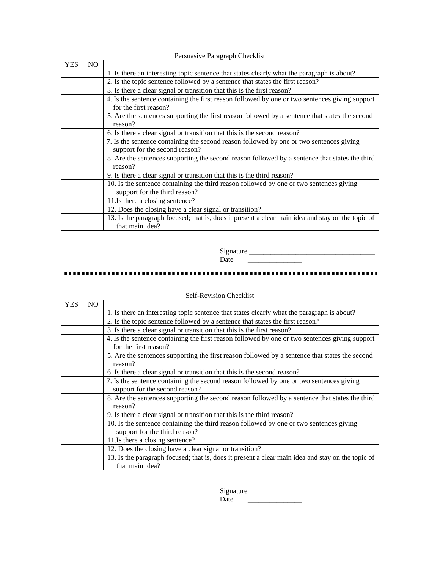|            |     | $\epsilon$ - $\epsilon$ . The $\epsilon$ is a substant $\epsilon$ is the state of $\epsilon$                              |
|------------|-----|---------------------------------------------------------------------------------------------------------------------------|
| <b>YES</b> | NO. |                                                                                                                           |
|            |     | 1. Is there an interesting topic sentence that states clearly what the paragraph is about?                                |
|            |     | 2. Is the topic sentence followed by a sentence that states the first reason?                                             |
|            |     | 3. Is there a clear signal or transition that this is the first reason?                                                   |
|            |     | 4. Is the sentence containing the first reason followed by one or two sentences giving support<br>for the first reason?   |
|            |     | 5. Are the sentences supporting the first reason followed by a sentence that states the second<br>reason?                 |
|            |     | 6. Is there a clear signal or transition that this is the second reason?                                                  |
|            |     | 7. Is the sentence containing the second reason followed by one or two sentences giving<br>support for the second reason? |
|            |     | 8. Are the sentences supporting the second reason followed by a sentence that states the third<br>reason?                 |
|            |     | 9. Is there a clear signal or transition that this is the third reason?                                                   |
|            |     | 10. Is the sentence containing the third reason followed by one or two sentences giving<br>support for the third reason?  |
|            |     | 11.Is there a closing sentence?                                                                                           |
|            |     | 12. Does the closing have a clear signal or transition?                                                                   |
|            |     | 13. Is the paragraph focused; that is, does it present a clear main idea and stay on the topic of<br>that main idea?      |

Persuasive Paragraph Checklist

 Signature \_\_\_\_\_\_\_\_\_\_\_\_\_\_\_\_\_\_\_\_\_\_\_\_\_\_\_\_\_\_\_\_\_\_\_  $\overline{\phantom{a}}$ 

### 

# Self-Revision Checklist

| YES | NO. |                                                                                                                          |
|-----|-----|--------------------------------------------------------------------------------------------------------------------------|
|     |     | 1. Is there an interesting topic sentence that states clearly what the paragraph is about?                               |
|     |     | 2. Is the topic sentence followed by a sentence that states the first reason?                                            |
|     |     | 3. Is there a clear signal or transition that this is the first reason?                                                  |
|     |     | 4. Is the sentence containing the first reason followed by one or two sentences giving support<br>for the first reason?  |
|     |     | 5. Are the sentences supporting the first reason followed by a sentence that states the second<br>reason?                |
|     |     | 6. Is there a clear signal or transition that this is the second reason?                                                 |
|     |     | 7. Is the sentence containing the second reason followed by one or two sentences giving                                  |
|     |     | support for the second reason?                                                                                           |
|     |     | 8. Are the sentences supporting the second reason followed by a sentence that states the third<br>reason?                |
|     |     | 9. Is there a clear signal or transition that this is the third reason?                                                  |
|     |     | 10. Is the sentence containing the third reason followed by one or two sentences giving<br>support for the third reason? |
|     |     | 11.Is there a closing sentence?                                                                                          |
|     |     | 12. Does the closing have a clear signal or transition?                                                                  |
|     |     | 13. Is the paragraph focused; that is, does it present a clear main idea and stay on the topic of<br>that main idea?     |

| . | ________ |
|---|----------|